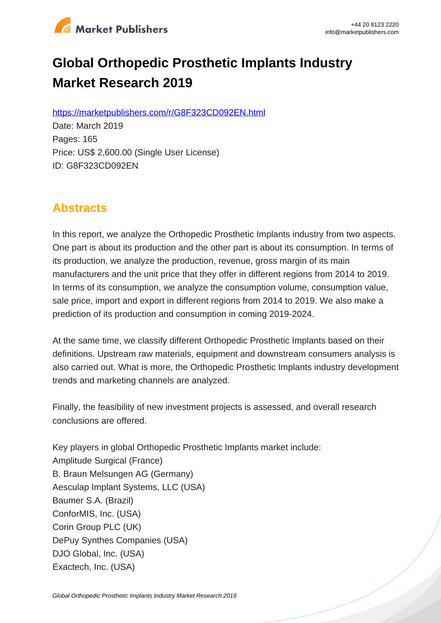

# **Global Orthopedic Prosthetic Implants Industry Market Research 2019**

https://marketpublishers.com/r/G8F323CD092EN.html

Date: March 2019 Pages: 165 Price: US\$ 2,600.00 (Single User License) ID: G8F323CD092EN

# **Abstracts**

In this report, we analyze the Orthopedic Prosthetic Implants industry from two aspects. One part is about its production and the other part is about its consumption. In terms of its production, we analyze the production, revenue, gross margin of its main manufacturers and the unit price that they offer in different regions from 2014 to 2019. In terms of its consumption, we analyze the consumption volume, consumption value, sale price, import and export in different regions from 2014 to 2019. We also make a prediction of its production and consumption in coming 2019-2024.

At the same time, we classify different Orthopedic Prosthetic Implants based on their definitions. Upstream raw materials, equipment and downstream consumers analysis is also carried out. What is more, the Orthopedic Prosthetic Implants industry development trends and marketing channels are analyzed.

Finally, the feasibility of new investment projects is assessed, and overall research conclusions are offered.

Key players in global Orthopedic Prosthetic Implants market include: Amplitude Surgical (France) B. Braun Melsungen AG (Germany) Aesculap Implant Systems, LLC (USA) Baumer S.A. (Brazil) ConforMIS, Inc. (USA) Corin Group PLC (UK) DePuy Synthes Companies (USA) DJO Global, Inc. (USA) Exactech, Inc. (USA)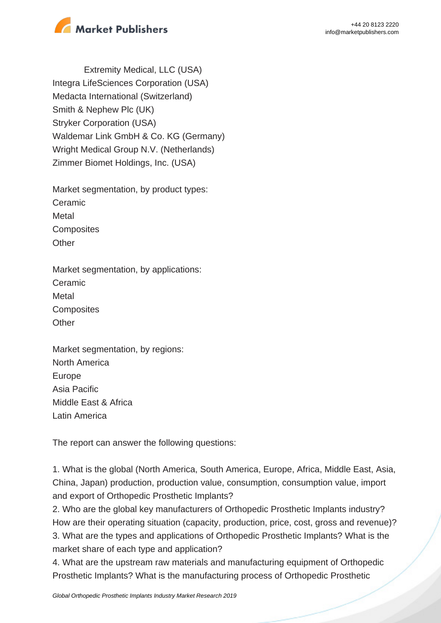



Extremity Medical, LLC (USA) Integra LifeSciences Corporation (USA) Medacta International (Switzerland) Smith & Nephew Plc (UK) Stryker Corporation (USA) Waldemar Link GmbH & Co. KG (Germany) Wright Medical Group N.V. (Netherlands) Zimmer Biomet Holdings, Inc. (USA)

Market segmentation, by product types: Ceramic **Metal Composites Other** 

Market segmentation, by applications: Ceramic Metal **Composites Other** 

Market segmentation, by regions: North America Europe Asia Pacific Middle East & Africa Latin America

The report can answer the following questions:

1. What is the global (North America, South America, Europe, Africa, Middle East, Asia, China, Japan) production, production value, consumption, consumption value, import and export of Orthopedic Prosthetic Implants?

2. Who are the global key manufacturers of Orthopedic Prosthetic Implants industry? How are their operating situation (capacity, production, price, cost, gross and revenue)? 3. What are the types and applications of Orthopedic Prosthetic Implants? What is the market share of each type and application?

4. What are the upstream raw materials and manufacturing equipment of Orthopedic Prosthetic Implants? What is the manufacturing process of Orthopedic Prosthetic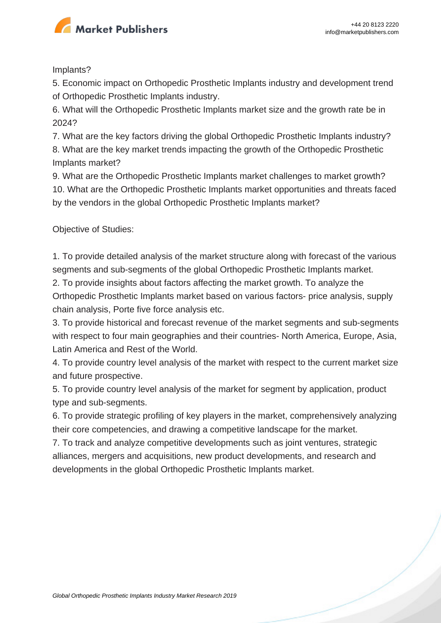

Implants?

5. Economic impact on Orthopedic Prosthetic Implants industry and development trend of Orthopedic Prosthetic Implants industry.

6. What will the Orthopedic Prosthetic Implants market size and the growth rate be in 2024?

7. What are the key factors driving the global Orthopedic Prosthetic Implants industry?

8. What are the key market trends impacting the growth of the Orthopedic Prosthetic Implants market?

9. What are the Orthopedic Prosthetic Implants market challenges to market growth? 10. What are the Orthopedic Prosthetic Implants market opportunities and threats faced by the vendors in the global Orthopedic Prosthetic Implants market?

Objective of Studies:

1. To provide detailed analysis of the market structure along with forecast of the various segments and sub-segments of the global Orthopedic Prosthetic Implants market.

2. To provide insights about factors affecting the market growth. To analyze the Orthopedic Prosthetic Implants market based on various factors- price analysis, supply chain analysis, Porte five force analysis etc.

3. To provide historical and forecast revenue of the market segments and sub-segments with respect to four main geographies and their countries- North America, Europe, Asia, Latin America and Rest of the World.

4. To provide country level analysis of the market with respect to the current market size and future prospective.

5. To provide country level analysis of the market for segment by application, product type and sub-segments.

6. To provide strategic profiling of key players in the market, comprehensively analyzing their core competencies, and drawing a competitive landscape for the market.

7. To track and analyze competitive developments such as joint ventures, strategic alliances, mergers and acquisitions, new product developments, and research and developments in the global Orthopedic Prosthetic Implants market.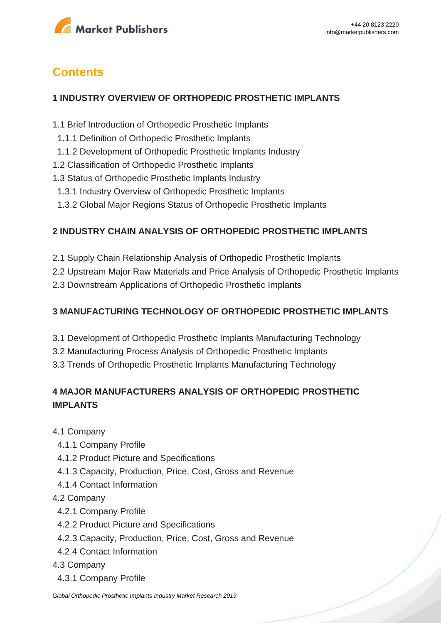

# **Contents**

#### **1 INDUSTRY OVERVIEW OF ORTHOPEDIC PROSTHETIC IMPLANTS**

- 1.1 Brief Introduction of Orthopedic Prosthetic Implants
- 1.1.1 Definition of Orthopedic Prosthetic Implants
- 1.1.2 Development of Orthopedic Prosthetic Implants Industry
- 1.2 Classification of Orthopedic Prosthetic Implants
- 1.3 Status of Orthopedic Prosthetic Implants Industry
- 1.3.1 Industry Overview of Orthopedic Prosthetic Implants
- 1.3.2 Global Major Regions Status of Orthopedic Prosthetic Implants

#### **2 INDUSTRY CHAIN ANALYSIS OF ORTHOPEDIC PROSTHETIC IMPLANTS**

- 2.1 Supply Chain Relationship Analysis of Orthopedic Prosthetic Implants
- 2.2 Upstream Major Raw Materials and Price Analysis of Orthopedic Prosthetic Implants
- 2.3 Downstream Applications of Orthopedic Prosthetic Implants

#### **3 MANUFACTURING TECHNOLOGY OF ORTHOPEDIC PROSTHETIC IMPLANTS**

- 3.1 Development of Orthopedic Prosthetic Implants Manufacturing Technology
- 3.2 Manufacturing Process Analysis of Orthopedic Prosthetic Implants
- 3.3 Trends of Orthopedic Prosthetic Implants Manufacturing Technology

#### **4 MAJOR MANUFACTURERS ANALYSIS OF ORTHOPEDIC PROSTHETIC IMPLANTS**

- 4.1 Company
	- 4.1.1 Company Profile
	- 4.1.2 Product Picture and Specifications
	- 4.1.3 Capacity, Production, Price, Cost, Gross and Revenue
	- 4.1.4 Contact Information
- 4.2 Company
	- 4.2.1 Company Profile
	- 4.2.2 Product Picture and Specifications
	- 4.2.3 Capacity, Production, Price, Cost, Gross and Revenue
- 4.2.4 Contact Information
- 4.3 Company
	- 4.3.1 Company Profile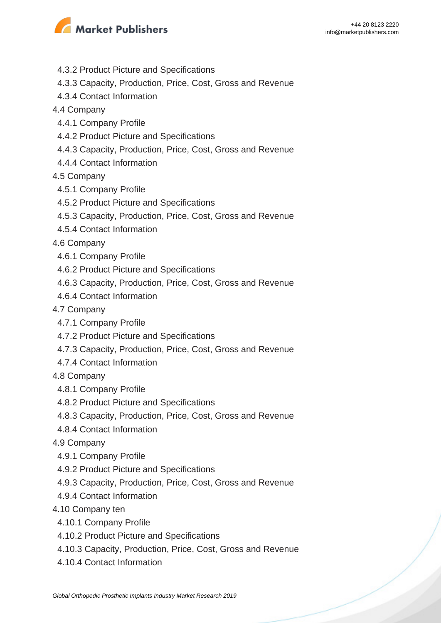

- 4.3.2 Product Picture and Specifications
- 4.3.3 Capacity, Production, Price, Cost, Gross and Revenue
- 4.3.4 Contact Information
- 4.4 Company
	- 4.4.1 Company Profile
	- 4.4.2 Product Picture and Specifications
	- 4.4.3 Capacity, Production, Price, Cost, Gross and Revenue
	- 4.4.4 Contact Information
- 4.5 Company
- 4.5.1 Company Profile
- 4.5.2 Product Picture and Specifications
- 4.5.3 Capacity, Production, Price, Cost, Gross and Revenue
- 4.5.4 Contact Information
- 4.6 Company
	- 4.6.1 Company Profile
	- 4.6.2 Product Picture and Specifications
	- 4.6.3 Capacity, Production, Price, Cost, Gross and Revenue
- 4.6.4 Contact Information
- 4.7 Company
	- 4.7.1 Company Profile
	- 4.7.2 Product Picture and Specifications
	- 4.7.3 Capacity, Production, Price, Cost, Gross and Revenue
- 4.7.4 Contact Information
- 4.8 Company
	- 4.8.1 Company Profile
	- 4.8.2 Product Picture and Specifications
	- 4.8.3 Capacity, Production, Price, Cost, Gross and Revenue
- 4.8.4 Contact Information
- 4.9 Company
- 4.9.1 Company Profile
- 4.9.2 Product Picture and Specifications
- 4.9.3 Capacity, Production, Price, Cost, Gross and Revenue
- 4.9.4 Contact Information
- 4.10 Company ten
	- 4.10.1 Company Profile
	- 4.10.2 Product Picture and Specifications
	- 4.10.3 Capacity, Production, Price, Cost, Gross and Revenue
	- 4.10.4 Contact Information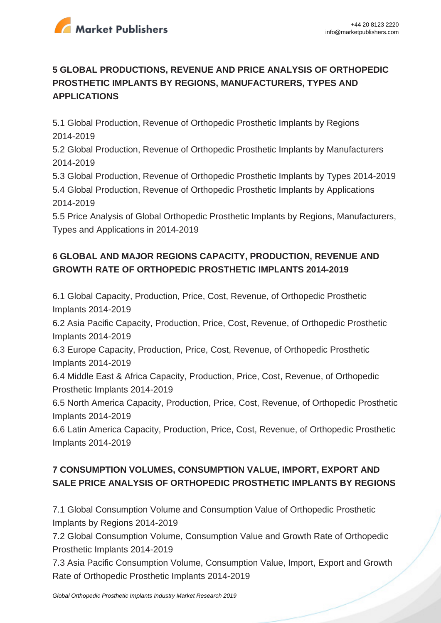

## **5 GLOBAL PRODUCTIONS, REVENUE AND PRICE ANALYSIS OF ORTHOPEDIC PROSTHETIC IMPLANTS BY REGIONS, MANUFACTURERS, TYPES AND APPLICATIONS**

5.1 Global Production, Revenue of Orthopedic Prosthetic Implants by Regions 2014-2019

5.2 Global Production, Revenue of Orthopedic Prosthetic Implants by Manufacturers 2014-2019

5.3 Global Production, Revenue of Orthopedic Prosthetic Implants by Types 2014-2019 5.4 Global Production, Revenue of Orthopedic Prosthetic Implants by Applications 2014-2019

5.5 Price Analysis of Global Orthopedic Prosthetic Implants by Regions, Manufacturers, Types and Applications in 2014-2019

## **6 GLOBAL AND MAJOR REGIONS CAPACITY, PRODUCTION, REVENUE AND GROWTH RATE OF ORTHOPEDIC PROSTHETIC IMPLANTS 2014-2019**

6.1 Global Capacity, Production, Price, Cost, Revenue, of Orthopedic Prosthetic Implants 2014-2019

6.2 Asia Pacific Capacity, Production, Price, Cost, Revenue, of Orthopedic Prosthetic Implants 2014-2019

6.3 Europe Capacity, Production, Price, Cost, Revenue, of Orthopedic Prosthetic Implants 2014-2019

6.4 Middle East & Africa Capacity, Production, Price, Cost, Revenue, of Orthopedic Prosthetic Implants 2014-2019

6.5 North America Capacity, Production, Price, Cost, Revenue, of Orthopedic Prosthetic Implants 2014-2019

6.6 Latin America Capacity, Production, Price, Cost, Revenue, of Orthopedic Prosthetic Implants 2014-2019

# **7 CONSUMPTION VOLUMES, CONSUMPTION VALUE, IMPORT, EXPORT AND SALE PRICE ANALYSIS OF ORTHOPEDIC PROSTHETIC IMPLANTS BY REGIONS**

7.1 Global Consumption Volume and Consumption Value of Orthopedic Prosthetic Implants by Regions 2014-2019

7.2 Global Consumption Volume, Consumption Value and Growth Rate of Orthopedic Prosthetic Implants 2014-2019

7.3 Asia Pacific Consumption Volume, Consumption Value, Import, Export and Growth Rate of Orthopedic Prosthetic Implants 2014-2019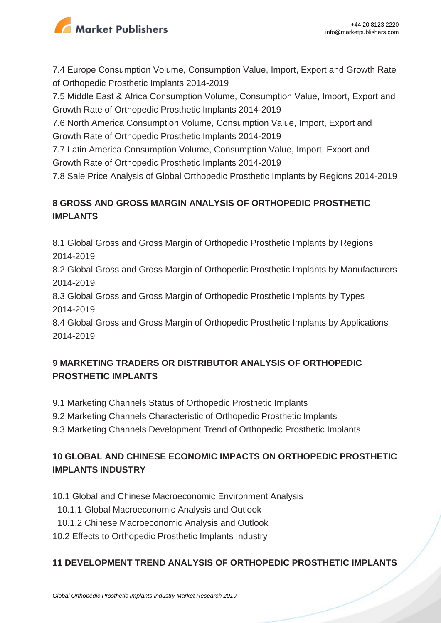

7.4 Europe Consumption Volume, Consumption Value, Import, Export and Growth Rate of Orthopedic Prosthetic Implants 2014-2019

7.5 Middle East & Africa Consumption Volume, Consumption Value, Import, Export and Growth Rate of Orthopedic Prosthetic Implants 2014-2019

7.6 North America Consumption Volume, Consumption Value, Import, Export and Growth Rate of Orthopedic Prosthetic Implants 2014-2019

7.7 Latin America Consumption Volume, Consumption Value, Import, Export and Growth Rate of Orthopedic Prosthetic Implants 2014-2019

7.8 Sale Price Analysis of Global Orthopedic Prosthetic Implants by Regions 2014-2019

## **8 GROSS AND GROSS MARGIN ANALYSIS OF ORTHOPEDIC PROSTHETIC IMPLANTS**

8.1 Global Gross and Gross Margin of Orthopedic Prosthetic Implants by Regions 2014-2019

8.2 Global Gross and Gross Margin of Orthopedic Prosthetic Implants by Manufacturers 2014-2019

8.3 Global Gross and Gross Margin of Orthopedic Prosthetic Implants by Types 2014-2019

8.4 Global Gross and Gross Margin of Orthopedic Prosthetic Implants by Applications 2014-2019

## **9 MARKETING TRADERS OR DISTRIBUTOR ANALYSIS OF ORTHOPEDIC PROSTHETIC IMPLANTS**

- 9.1 Marketing Channels Status of Orthopedic Prosthetic Implants
- 9.2 Marketing Channels Characteristic of Orthopedic Prosthetic Implants
- 9.3 Marketing Channels Development Trend of Orthopedic Prosthetic Implants

#### **10 GLOBAL AND CHINESE ECONOMIC IMPACTS ON ORTHOPEDIC PROSTHETIC IMPLANTS INDUSTRY**

- 10.1 Global and Chinese Macroeconomic Environment Analysis
	- 10.1.1 Global Macroeconomic Analysis and Outlook
- 10.1.2 Chinese Macroeconomic Analysis and Outlook
- 10.2 Effects to Orthopedic Prosthetic Implants Industry

#### **11 DEVELOPMENT TREND ANALYSIS OF ORTHOPEDIC PROSTHETIC IMPLANTS**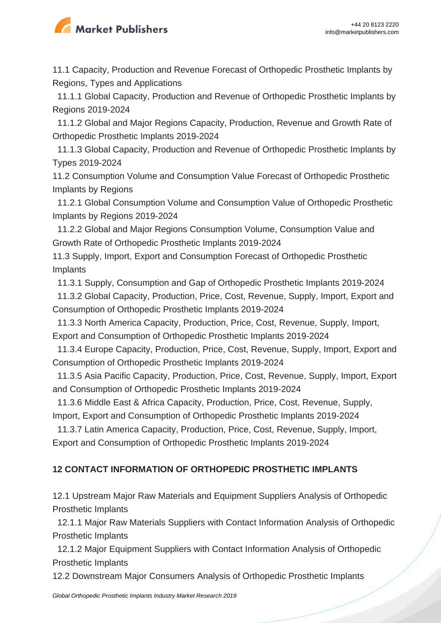

11.1 Capacity, Production and Revenue Forecast of Orthopedic Prosthetic Implants by Regions, Types and Applications

 11.1.1 Global Capacity, Production and Revenue of Orthopedic Prosthetic Implants by Regions 2019-2024

 11.1.2 Global and Major Regions Capacity, Production, Revenue and Growth Rate of Orthopedic Prosthetic Implants 2019-2024

 11.1.3 Global Capacity, Production and Revenue of Orthopedic Prosthetic Implants by Types 2019-2024

11.2 Consumption Volume and Consumption Value Forecast of Orthopedic Prosthetic Implants by Regions

 11.2.1 Global Consumption Volume and Consumption Value of Orthopedic Prosthetic Implants by Regions 2019-2024

 11.2.2 Global and Major Regions Consumption Volume, Consumption Value and Growth Rate of Orthopedic Prosthetic Implants 2019-2024

11.3 Supply, Import, Export and Consumption Forecast of Orthopedic Prosthetic Implants

11.3.1 Supply, Consumption and Gap of Orthopedic Prosthetic Implants 2019-2024

 11.3.2 Global Capacity, Production, Price, Cost, Revenue, Supply, Import, Export and Consumption of Orthopedic Prosthetic Implants 2019-2024

 11.3.3 North America Capacity, Production, Price, Cost, Revenue, Supply, Import, Export and Consumption of Orthopedic Prosthetic Implants 2019-2024

 11.3.4 Europe Capacity, Production, Price, Cost, Revenue, Supply, Import, Export and Consumption of Orthopedic Prosthetic Implants 2019-2024

 11.3.5 Asia Pacific Capacity, Production, Price, Cost, Revenue, Supply, Import, Export and Consumption of Orthopedic Prosthetic Implants 2019-2024

 11.3.6 Middle East & Africa Capacity, Production, Price, Cost, Revenue, Supply, Import, Export and Consumption of Orthopedic Prosthetic Implants 2019-2024

 11.3.7 Latin America Capacity, Production, Price, Cost, Revenue, Supply, Import, Export and Consumption of Orthopedic Prosthetic Implants 2019-2024

#### **12 CONTACT INFORMATION OF ORTHOPEDIC PROSTHETIC IMPLANTS**

12.1 Upstream Major Raw Materials and Equipment Suppliers Analysis of Orthopedic Prosthetic Implants

 12.1.1 Major Raw Materials Suppliers with Contact Information Analysis of Orthopedic Prosthetic Implants

 12.1.2 Major Equipment Suppliers with Contact Information Analysis of Orthopedic Prosthetic Implants

12.2 Downstream Major Consumers Analysis of Orthopedic Prosthetic Implants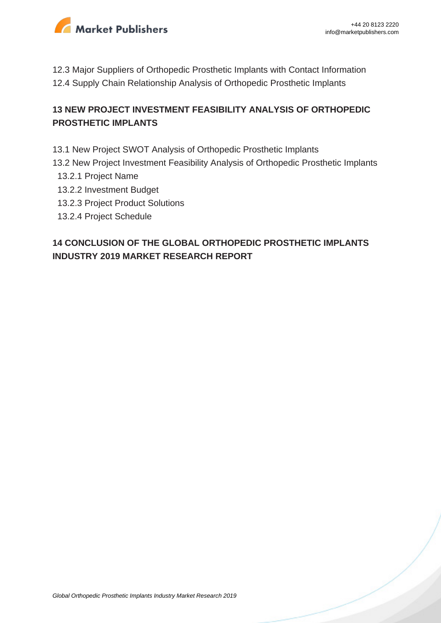

12.3 Major Suppliers of Orthopedic Prosthetic Implants with Contact Information 12.4 Supply Chain Relationship Analysis of Orthopedic Prosthetic Implants

#### **13 NEW PROJECT INVESTMENT FEASIBILITY ANALYSIS OF ORTHOPEDIC PROSTHETIC IMPLANTS**

- 13.1 New Project SWOT Analysis of Orthopedic Prosthetic Implants
- 13.2 New Project Investment Feasibility Analysis of Orthopedic Prosthetic Implants
	- 13.2.1 Project Name
	- 13.2.2 Investment Budget
	- 13.2.3 Project Product Solutions
	- 13.2.4 Project Schedule

#### **14 CONCLUSION OF THE GLOBAL ORTHOPEDIC PROSTHETIC IMPLANTS INDUSTRY 2019 MARKET RESEARCH REPORT**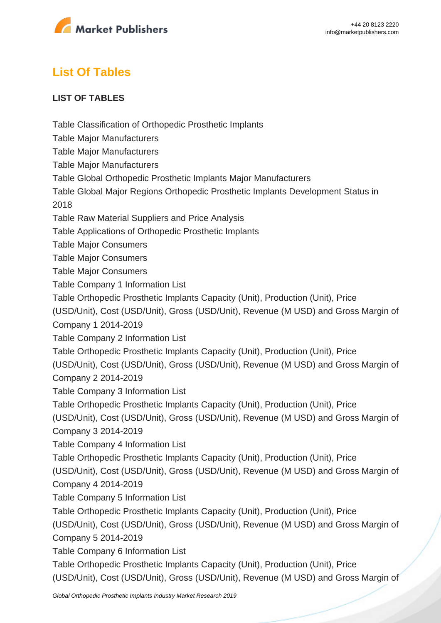

# **List Of Tables**

#### **LIST OF TABLES**

Table Classification of Orthopedic Prosthetic Implants

Table Major Manufacturers

Table Major Manufacturers

Table Major Manufacturers

Table Global Orthopedic Prosthetic Implants Major Manufacturers

Table Global Major Regions Orthopedic Prosthetic Implants Development Status in 2018

Table Raw Material Suppliers and Price Analysis

Table Applications of Orthopedic Prosthetic Implants

Table Major Consumers

Table Major Consumers

Table Major Consumers

Table Company 1 Information List

Table Orthopedic Prosthetic Implants Capacity (Unit), Production (Unit), Price

(USD/Unit), Cost (USD/Unit), Gross (USD/Unit), Revenue (M USD) and Gross Margin of

Company 1 2014-2019

Table Company 2 Information List

Table Orthopedic Prosthetic Implants Capacity (Unit), Production (Unit), Price

(USD/Unit), Cost (USD/Unit), Gross (USD/Unit), Revenue (M USD) and Gross Margin of Company 2 2014-2019

Table Company 3 Information List

Table Orthopedic Prosthetic Implants Capacity (Unit), Production (Unit), Price

(USD/Unit), Cost (USD/Unit), Gross (USD/Unit), Revenue (M USD) and Gross Margin of

Company 3 2014-2019

Table Company 4 Information List

Table Orthopedic Prosthetic Implants Capacity (Unit), Production (Unit), Price

(USD/Unit), Cost (USD/Unit), Gross (USD/Unit), Revenue (M USD) and Gross Margin of Company 4 2014-2019

Table Company 5 Information List

Table Orthopedic Prosthetic Implants Capacity (Unit), Production (Unit), Price

(USD/Unit), Cost (USD/Unit), Gross (USD/Unit), Revenue (M USD) and Gross Margin of Company 5 2014-2019

Table Company 6 Information List

Table Orthopedic Prosthetic Implants Capacity (Unit), Production (Unit), Price (USD/Unit), Cost (USD/Unit), Gross (USD/Unit), Revenue (M USD) and Gross Margin of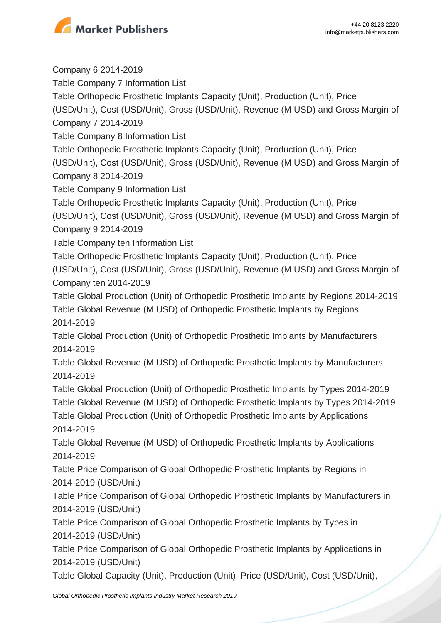

Company 6 2014-2019 Table Company 7 Information List Table Orthopedic Prosthetic Implants Capacity (Unit), Production (Unit), Price (USD/Unit), Cost (USD/Unit), Gross (USD/Unit), Revenue (M USD) and Gross Margin of Company 7 2014-2019 Table Company 8 Information List Table Orthopedic Prosthetic Implants Capacity (Unit), Production (Unit), Price (USD/Unit), Cost (USD/Unit), Gross (USD/Unit), Revenue (M USD) and Gross Margin of Company 8 2014-2019 Table Company 9 Information List Table Orthopedic Prosthetic Implants Capacity (Unit), Production (Unit), Price (USD/Unit), Cost (USD/Unit), Gross (USD/Unit), Revenue (M USD) and Gross Margin of Company 9 2014-2019 Table Company ten Information List Table Orthopedic Prosthetic Implants Capacity (Unit), Production (Unit), Price (USD/Unit), Cost (USD/Unit), Gross (USD/Unit), Revenue (M USD) and Gross Margin of Company ten 2014-2019 Table Global Production (Unit) of Orthopedic Prosthetic Implants by Regions 2014-2019 Table Global Revenue (M USD) of Orthopedic Prosthetic Implants by Regions 2014-2019 Table Global Production (Unit) of Orthopedic Prosthetic Implants by Manufacturers 2014-2019 Table Global Revenue (M USD) of Orthopedic Prosthetic Implants by Manufacturers 2014-2019 Table Global Production (Unit) of Orthopedic Prosthetic Implants by Types 2014-2019 Table Global Revenue (M USD) of Orthopedic Prosthetic Implants by Types 2014-2019 Table Global Production (Unit) of Orthopedic Prosthetic Implants by Applications 2014-2019 Table Global Revenue (M USD) of Orthopedic Prosthetic Implants by Applications 2014-2019 Table Price Comparison of Global Orthopedic Prosthetic Implants by Regions in 2014-2019 (USD/Unit) Table Price Comparison of Global Orthopedic Prosthetic Implants by Manufacturers in 2014-2019 (USD/Unit) Table Price Comparison of Global Orthopedic Prosthetic Implants by Types in 2014-2019 (USD/Unit) Table Price Comparison of Global Orthopedic Prosthetic Implants by Applications in 2014-2019 (USD/Unit) Table Global Capacity (Unit), Production (Unit), Price (USD/Unit), Cost (USD/Unit),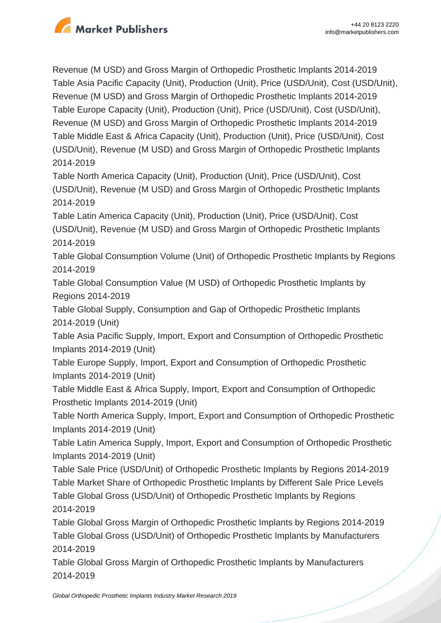

Revenue (M USD) and Gross Margin of Orthopedic Prosthetic Implants 2014-2019 Table Asia Pacific Capacity (Unit), Production (Unit), Price (USD/Unit), Cost (USD/Unit), Revenue (M USD) and Gross Margin of Orthopedic Prosthetic Implants 2014-2019 Table Europe Capacity (Unit), Production (Unit), Price (USD/Unit), Cost (USD/Unit), Revenue (M USD) and Gross Margin of Orthopedic Prosthetic Implants 2014-2019 Table Middle East & Africa Capacity (Unit), Production (Unit), Price (USD/Unit), Cost (USD/Unit), Revenue (M USD) and Gross Margin of Orthopedic Prosthetic Implants 2014-2019

Table North America Capacity (Unit), Production (Unit), Price (USD/Unit), Cost (USD/Unit), Revenue (M USD) and Gross Margin of Orthopedic Prosthetic Implants 2014-2019

Table Latin America Capacity (Unit), Production (Unit), Price (USD/Unit), Cost

(USD/Unit), Revenue (M USD) and Gross Margin of Orthopedic Prosthetic Implants 2014-2019

Table Global Consumption Volume (Unit) of Orthopedic Prosthetic Implants by Regions 2014-2019

Table Global Consumption Value (M USD) of Orthopedic Prosthetic Implants by Regions 2014-2019

Table Global Supply, Consumption and Gap of Orthopedic Prosthetic Implants 2014-2019 (Unit)

Table Asia Pacific Supply, Import, Export and Consumption of Orthopedic Prosthetic Implants 2014-2019 (Unit)

Table Europe Supply, Import, Export and Consumption of Orthopedic Prosthetic Implants 2014-2019 (Unit)

Table Middle East & Africa Supply, Import, Export and Consumption of Orthopedic Prosthetic Implants 2014-2019 (Unit)

Table North America Supply, Import, Export and Consumption of Orthopedic Prosthetic Implants 2014-2019 (Unit)

Table Latin America Supply, Import, Export and Consumption of Orthopedic Prosthetic Implants 2014-2019 (Unit)

Table Sale Price (USD/Unit) of Orthopedic Prosthetic Implants by Regions 2014-2019 Table Market Share of Orthopedic Prosthetic Implants by Different Sale Price Levels Table Global Gross (USD/Unit) of Orthopedic Prosthetic Implants by Regions 2014-2019

Table Global Gross Margin of Orthopedic Prosthetic Implants by Regions 2014-2019 Table Global Gross (USD/Unit) of Orthopedic Prosthetic Implants by Manufacturers 2014-2019

Table Global Gross Margin of Orthopedic Prosthetic Implants by Manufacturers 2014-2019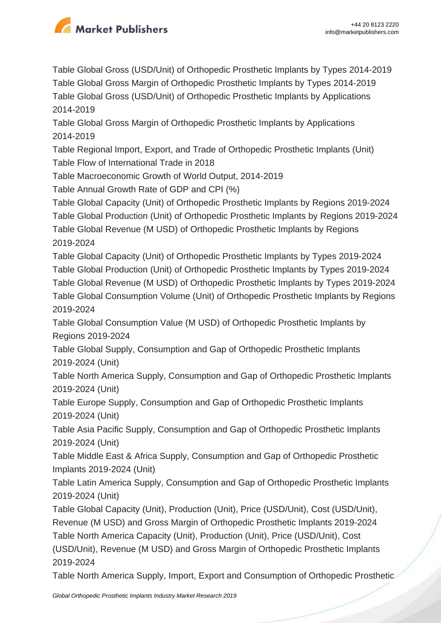

Table Global Gross (USD/Unit) of Orthopedic Prosthetic Implants by Types 2014-2019 Table Global Gross Margin of Orthopedic Prosthetic Implants by Types 2014-2019 Table Global Gross (USD/Unit) of Orthopedic Prosthetic Implants by Applications 2014-2019

Table Global Gross Margin of Orthopedic Prosthetic Implants by Applications 2014-2019

Table Regional Import, Export, and Trade of Orthopedic Prosthetic Implants (Unit) Table Flow of International Trade in 2018

Table Macroeconomic Growth of World Output, 2014-2019

Table Annual Growth Rate of GDP and CPI (%)

Table Global Capacity (Unit) of Orthopedic Prosthetic Implants by Regions 2019-2024 Table Global Production (Unit) of Orthopedic Prosthetic Implants by Regions 2019-2024 Table Global Revenue (M USD) of Orthopedic Prosthetic Implants by Regions 2019-2024

Table Global Capacity (Unit) of Orthopedic Prosthetic Implants by Types 2019-2024 Table Global Production (Unit) of Orthopedic Prosthetic Implants by Types 2019-2024 Table Global Revenue (M USD) of Orthopedic Prosthetic Implants by Types 2019-2024 Table Global Consumption Volume (Unit) of Orthopedic Prosthetic Implants by Regions

2019-2024

Table Global Consumption Value (M USD) of Orthopedic Prosthetic Implants by Regions 2019-2024

Table Global Supply, Consumption and Gap of Orthopedic Prosthetic Implants 2019-2024 (Unit)

Table North America Supply, Consumption and Gap of Orthopedic Prosthetic Implants 2019-2024 (Unit)

Table Europe Supply, Consumption and Gap of Orthopedic Prosthetic Implants 2019-2024 (Unit)

Table Asia Pacific Supply, Consumption and Gap of Orthopedic Prosthetic Implants 2019-2024 (Unit)

Table Middle East & Africa Supply, Consumption and Gap of Orthopedic Prosthetic Implants 2019-2024 (Unit)

Table Latin America Supply, Consumption and Gap of Orthopedic Prosthetic Implants 2019-2024 (Unit)

Table Global Capacity (Unit), Production (Unit), Price (USD/Unit), Cost (USD/Unit), Revenue (M USD) and Gross Margin of Orthopedic Prosthetic Implants 2019-2024 Table North America Capacity (Unit), Production (Unit), Price (USD/Unit), Cost (USD/Unit), Revenue (M USD) and Gross Margin of Orthopedic Prosthetic Implants 2019-2024

Table North America Supply, Import, Export and Consumption of Orthopedic Prosthetic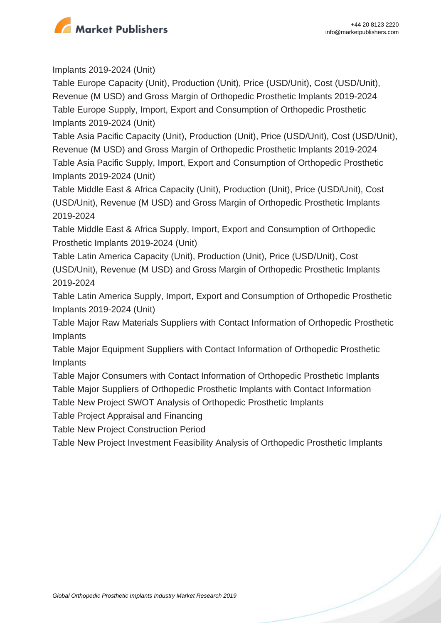

Implants 2019-2024 (Unit)

Table Europe Capacity (Unit), Production (Unit), Price (USD/Unit), Cost (USD/Unit), Revenue (M USD) and Gross Margin of Orthopedic Prosthetic Implants 2019-2024 Table Europe Supply, Import, Export and Consumption of Orthopedic Prosthetic Implants 2019-2024 (Unit)

Table Asia Pacific Capacity (Unit), Production (Unit), Price (USD/Unit), Cost (USD/Unit), Revenue (M USD) and Gross Margin of Orthopedic Prosthetic Implants 2019-2024 Table Asia Pacific Supply, Import, Export and Consumption of Orthopedic Prosthetic Implants 2019-2024 (Unit)

Table Middle East & Africa Capacity (Unit), Production (Unit), Price (USD/Unit), Cost (USD/Unit), Revenue (M USD) and Gross Margin of Orthopedic Prosthetic Implants 2019-2024

Table Middle East & Africa Supply, Import, Export and Consumption of Orthopedic Prosthetic Implants 2019-2024 (Unit)

Table Latin America Capacity (Unit), Production (Unit), Price (USD/Unit), Cost (USD/Unit), Revenue (M USD) and Gross Margin of Orthopedic Prosthetic Implants 2019-2024

Table Latin America Supply, Import, Export and Consumption of Orthopedic Prosthetic Implants 2019-2024 (Unit)

Table Major Raw Materials Suppliers with Contact Information of Orthopedic Prosthetic Implants

Table Major Equipment Suppliers with Contact Information of Orthopedic Prosthetic Implants

Table Major Consumers with Contact Information of Orthopedic Prosthetic Implants

Table Major Suppliers of Orthopedic Prosthetic Implants with Contact Information

Table New Project SWOT Analysis of Orthopedic Prosthetic Implants

Table Project Appraisal and Financing

Table New Project Construction Period

Table New Project Investment Feasibility Analysis of Orthopedic Prosthetic Implants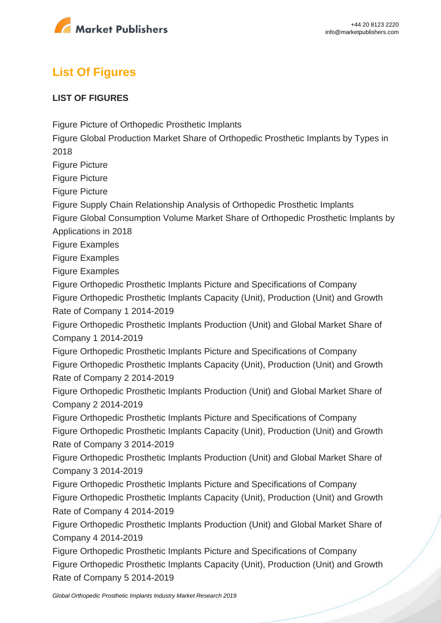

# **List Of Figures**

#### **LIST OF FIGURES**

Figure Picture of Orthopedic Prosthetic Implants

Figure Global Production Market Share of Orthopedic Prosthetic Implants by Types in 2018

Figure Picture

Figure Picture

Figure Picture

Figure Supply Chain Relationship Analysis of Orthopedic Prosthetic Implants

Figure Global Consumption Volume Market Share of Orthopedic Prosthetic Implants by Applications in 2018

Figure Examples

Figure Examples

Figure Examples

Figure Orthopedic Prosthetic Implants Picture and Specifications of Company

Figure Orthopedic Prosthetic Implants Capacity (Unit), Production (Unit) and Growth Rate of Company 1 2014-2019

Figure Orthopedic Prosthetic Implants Production (Unit) and Global Market Share of Company 1 2014-2019

Figure Orthopedic Prosthetic Implants Picture and Specifications of Company Figure Orthopedic Prosthetic Implants Capacity (Unit), Production (Unit) and Growth Rate of Company 2 2014-2019

Figure Orthopedic Prosthetic Implants Production (Unit) and Global Market Share of Company 2 2014-2019

Figure Orthopedic Prosthetic Implants Picture and Specifications of Company Figure Orthopedic Prosthetic Implants Capacity (Unit), Production (Unit) and Growth Rate of Company 3 2014-2019

Figure Orthopedic Prosthetic Implants Production (Unit) and Global Market Share of Company 3 2014-2019

Figure Orthopedic Prosthetic Implants Picture and Specifications of Company Figure Orthopedic Prosthetic Implants Capacity (Unit), Production (Unit) and Growth Rate of Company 4 2014-2019

Figure Orthopedic Prosthetic Implants Production (Unit) and Global Market Share of Company 4 2014-2019

Figure Orthopedic Prosthetic Implants Picture and Specifications of Company Figure Orthopedic Prosthetic Implants Capacity (Unit), Production (Unit) and Growth Rate of Company 5 2014-2019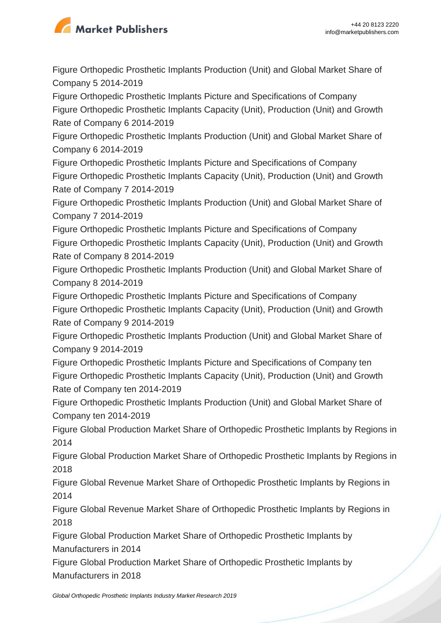

Figure Orthopedic Prosthetic Implants Production (Unit) and Global Market Share of Company 5 2014-2019

Figure Orthopedic Prosthetic Implants Picture and Specifications of Company Figure Orthopedic Prosthetic Implants Capacity (Unit), Production (Unit) and Growth Rate of Company 6 2014-2019

Figure Orthopedic Prosthetic Implants Production (Unit) and Global Market Share of Company 6 2014-2019

Figure Orthopedic Prosthetic Implants Picture and Specifications of Company Figure Orthopedic Prosthetic Implants Capacity (Unit), Production (Unit) and Growth Rate of Company 7 2014-2019

Figure Orthopedic Prosthetic Implants Production (Unit) and Global Market Share of Company 7 2014-2019

Figure Orthopedic Prosthetic Implants Picture and Specifications of Company Figure Orthopedic Prosthetic Implants Capacity (Unit), Production (Unit) and Growth Rate of Company 8 2014-2019

Figure Orthopedic Prosthetic Implants Production (Unit) and Global Market Share of Company 8 2014-2019

Figure Orthopedic Prosthetic Implants Picture and Specifications of Company Figure Orthopedic Prosthetic Implants Capacity (Unit), Production (Unit) and Growth Rate of Company 9 2014-2019

Figure Orthopedic Prosthetic Implants Production (Unit) and Global Market Share of Company 9 2014-2019

Figure Orthopedic Prosthetic Implants Picture and Specifications of Company ten Figure Orthopedic Prosthetic Implants Capacity (Unit), Production (Unit) and Growth Rate of Company ten 2014-2019

Figure Orthopedic Prosthetic Implants Production (Unit) and Global Market Share of Company ten 2014-2019

Figure Global Production Market Share of Orthopedic Prosthetic Implants by Regions in 2014

Figure Global Production Market Share of Orthopedic Prosthetic Implants by Regions in 2018

Figure Global Revenue Market Share of Orthopedic Prosthetic Implants by Regions in 2014

Figure Global Revenue Market Share of Orthopedic Prosthetic Implants by Regions in 2018

Figure Global Production Market Share of Orthopedic Prosthetic Implants by Manufacturers in 2014

Figure Global Production Market Share of Orthopedic Prosthetic Implants by Manufacturers in 2018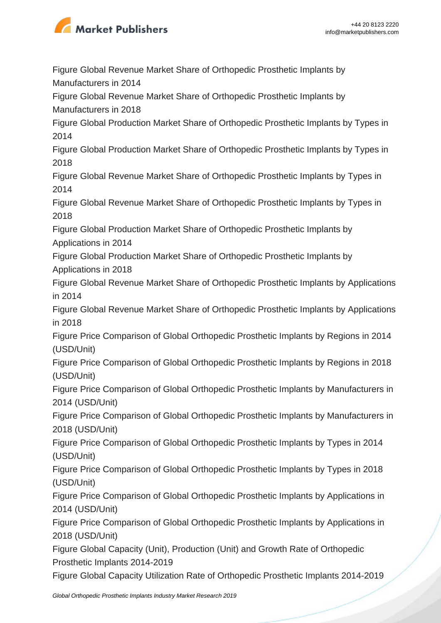

Figure Global Revenue Market Share of Orthopedic Prosthetic Implants by Manufacturers in 2014

Figure Global Revenue Market Share of Orthopedic Prosthetic Implants by Manufacturers in 2018

Figure Global Production Market Share of Orthopedic Prosthetic Implants by Types in 2014

Figure Global Production Market Share of Orthopedic Prosthetic Implants by Types in 2018

Figure Global Revenue Market Share of Orthopedic Prosthetic Implants by Types in 2014

Figure Global Revenue Market Share of Orthopedic Prosthetic Implants by Types in 2018

Figure Global Production Market Share of Orthopedic Prosthetic Implants by Applications in 2014

Figure Global Production Market Share of Orthopedic Prosthetic Implants by Applications in 2018

Figure Global Revenue Market Share of Orthopedic Prosthetic Implants by Applications in 2014

Figure Global Revenue Market Share of Orthopedic Prosthetic Implants by Applications in 2018

Figure Price Comparison of Global Orthopedic Prosthetic Implants by Regions in 2014 (USD/Unit)

Figure Price Comparison of Global Orthopedic Prosthetic Implants by Regions in 2018 (USD/Unit)

Figure Price Comparison of Global Orthopedic Prosthetic Implants by Manufacturers in 2014 (USD/Unit)

Figure Price Comparison of Global Orthopedic Prosthetic Implants by Manufacturers in 2018 (USD/Unit)

Figure Price Comparison of Global Orthopedic Prosthetic Implants by Types in 2014 (USD/Unit)

Figure Price Comparison of Global Orthopedic Prosthetic Implants by Types in 2018 (USD/Unit)

Figure Price Comparison of Global Orthopedic Prosthetic Implants by Applications in 2014 (USD/Unit)

Figure Price Comparison of Global Orthopedic Prosthetic Implants by Applications in 2018 (USD/Unit)

Figure Global Capacity (Unit), Production (Unit) and Growth Rate of Orthopedic Prosthetic Implants 2014-2019

Figure Global Capacity Utilization Rate of Orthopedic Prosthetic Implants 2014-2019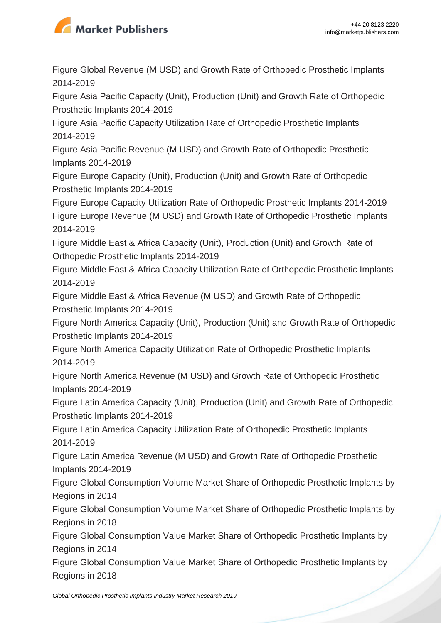

Figure Global Revenue (M USD) and Growth Rate of Orthopedic Prosthetic Implants 2014-2019

Figure Asia Pacific Capacity (Unit), Production (Unit) and Growth Rate of Orthopedic Prosthetic Implants 2014-2019

Figure Asia Pacific Capacity Utilization Rate of Orthopedic Prosthetic Implants 2014-2019

Figure Asia Pacific Revenue (M USD) and Growth Rate of Orthopedic Prosthetic Implants 2014-2019

Figure Europe Capacity (Unit), Production (Unit) and Growth Rate of Orthopedic Prosthetic Implants 2014-2019

Figure Europe Capacity Utilization Rate of Orthopedic Prosthetic Implants 2014-2019 Figure Europe Revenue (M USD) and Growth Rate of Orthopedic Prosthetic Implants 2014-2019

Figure Middle East & Africa Capacity (Unit), Production (Unit) and Growth Rate of Orthopedic Prosthetic Implants 2014-2019

Figure Middle East & Africa Capacity Utilization Rate of Orthopedic Prosthetic Implants 2014-2019

Figure Middle East & Africa Revenue (M USD) and Growth Rate of Orthopedic Prosthetic Implants 2014-2019

Figure North America Capacity (Unit), Production (Unit) and Growth Rate of Orthopedic Prosthetic Implants 2014-2019

Figure North America Capacity Utilization Rate of Orthopedic Prosthetic Implants 2014-2019

Figure North America Revenue (M USD) and Growth Rate of Orthopedic Prosthetic Implants 2014-2019

Figure Latin America Capacity (Unit), Production (Unit) and Growth Rate of Orthopedic Prosthetic Implants 2014-2019

Figure Latin America Capacity Utilization Rate of Orthopedic Prosthetic Implants 2014-2019

Figure Latin America Revenue (M USD) and Growth Rate of Orthopedic Prosthetic Implants 2014-2019

Figure Global Consumption Volume Market Share of Orthopedic Prosthetic Implants by Regions in 2014

Figure Global Consumption Volume Market Share of Orthopedic Prosthetic Implants by Regions in 2018

Figure Global Consumption Value Market Share of Orthopedic Prosthetic Implants by Regions in 2014

Figure Global Consumption Value Market Share of Orthopedic Prosthetic Implants by Regions in 2018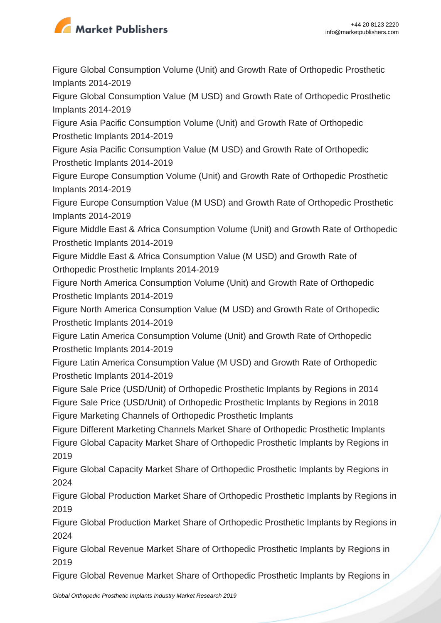

Figure Global Consumption Volume (Unit) and Growth Rate of Orthopedic Prosthetic Implants 2014-2019

Figure Global Consumption Value (M USD) and Growth Rate of Orthopedic Prosthetic Implants 2014-2019

Figure Asia Pacific Consumption Volume (Unit) and Growth Rate of Orthopedic Prosthetic Implants 2014-2019

Figure Asia Pacific Consumption Value (M USD) and Growth Rate of Orthopedic Prosthetic Implants 2014-2019

Figure Europe Consumption Volume (Unit) and Growth Rate of Orthopedic Prosthetic Implants 2014-2019

Figure Europe Consumption Value (M USD) and Growth Rate of Orthopedic Prosthetic Implants 2014-2019

Figure Middle East & Africa Consumption Volume (Unit) and Growth Rate of Orthopedic Prosthetic Implants 2014-2019

Figure Middle East & Africa Consumption Value (M USD) and Growth Rate of Orthopedic Prosthetic Implants 2014-2019

Figure North America Consumption Volume (Unit) and Growth Rate of Orthopedic Prosthetic Implants 2014-2019

Figure North America Consumption Value (M USD) and Growth Rate of Orthopedic Prosthetic Implants 2014-2019

Figure Latin America Consumption Volume (Unit) and Growth Rate of Orthopedic Prosthetic Implants 2014-2019

Figure Latin America Consumption Value (M USD) and Growth Rate of Orthopedic Prosthetic Implants 2014-2019

Figure Sale Price (USD/Unit) of Orthopedic Prosthetic Implants by Regions in 2014 Figure Sale Price (USD/Unit) of Orthopedic Prosthetic Implants by Regions in 2018 Figure Marketing Channels of Orthopedic Prosthetic Implants

Figure Different Marketing Channels Market Share of Orthopedic Prosthetic Implants Figure Global Capacity Market Share of Orthopedic Prosthetic Implants by Regions in 2019

Figure Global Capacity Market Share of Orthopedic Prosthetic Implants by Regions in 2024

Figure Global Production Market Share of Orthopedic Prosthetic Implants by Regions in 2019

Figure Global Production Market Share of Orthopedic Prosthetic Implants by Regions in 2024

Figure Global Revenue Market Share of Orthopedic Prosthetic Implants by Regions in 2019

Figure Global Revenue Market Share of Orthopedic Prosthetic Implants by Regions in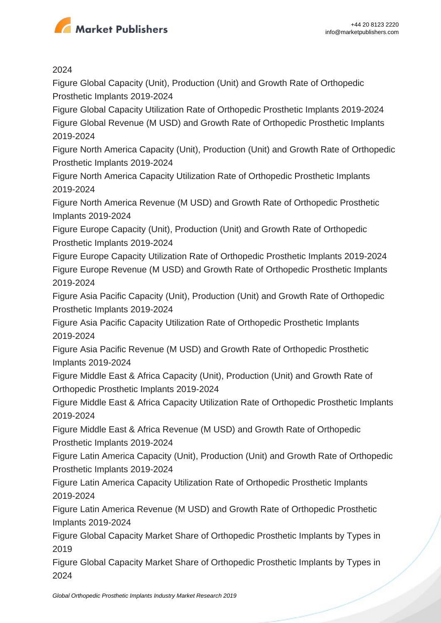

2024

Figure Global Capacity (Unit), Production (Unit) and Growth Rate of Orthopedic Prosthetic Implants 2019-2024

Figure Global Capacity Utilization Rate of Orthopedic Prosthetic Implants 2019-2024 Figure Global Revenue (M USD) and Growth Rate of Orthopedic Prosthetic Implants 2019-2024

Figure North America Capacity (Unit), Production (Unit) and Growth Rate of Orthopedic Prosthetic Implants 2019-2024

Figure North America Capacity Utilization Rate of Orthopedic Prosthetic Implants 2019-2024

Figure North America Revenue (M USD) and Growth Rate of Orthopedic Prosthetic Implants 2019-2024

Figure Europe Capacity (Unit), Production (Unit) and Growth Rate of Orthopedic Prosthetic Implants 2019-2024

Figure Europe Capacity Utilization Rate of Orthopedic Prosthetic Implants 2019-2024 Figure Europe Revenue (M USD) and Growth Rate of Orthopedic Prosthetic Implants 2019-2024

Figure Asia Pacific Capacity (Unit), Production (Unit) and Growth Rate of Orthopedic Prosthetic Implants 2019-2024

Figure Asia Pacific Capacity Utilization Rate of Orthopedic Prosthetic Implants 2019-2024

Figure Asia Pacific Revenue (M USD) and Growth Rate of Orthopedic Prosthetic Implants 2019-2024

Figure Middle East & Africa Capacity (Unit), Production (Unit) and Growth Rate of Orthopedic Prosthetic Implants 2019-2024

Figure Middle East & Africa Capacity Utilization Rate of Orthopedic Prosthetic Implants 2019-2024

Figure Middle East & Africa Revenue (M USD) and Growth Rate of Orthopedic Prosthetic Implants 2019-2024

Figure Latin America Capacity (Unit), Production (Unit) and Growth Rate of Orthopedic Prosthetic Implants 2019-2024

Figure Latin America Capacity Utilization Rate of Orthopedic Prosthetic Implants 2019-2024

Figure Latin America Revenue (M USD) and Growth Rate of Orthopedic Prosthetic Implants 2019-2024

Figure Global Capacity Market Share of Orthopedic Prosthetic Implants by Types in 2019

Figure Global Capacity Market Share of Orthopedic Prosthetic Implants by Types in 2024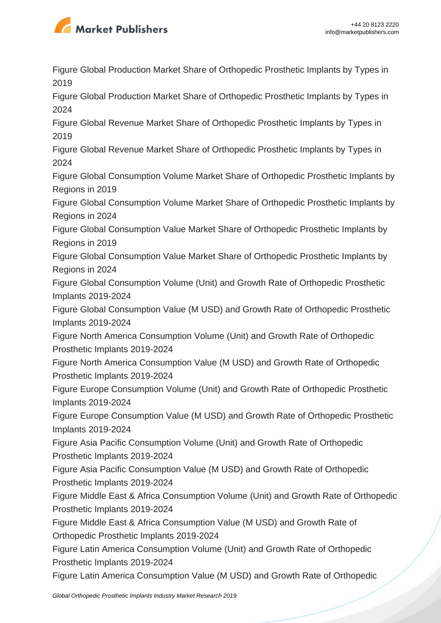

Figure Global Production Market Share of Orthopedic Prosthetic Implants by Types in 2019

Figure Global Production Market Share of Orthopedic Prosthetic Implants by Types in 2024

Figure Global Revenue Market Share of Orthopedic Prosthetic Implants by Types in 2019

Figure Global Revenue Market Share of Orthopedic Prosthetic Implants by Types in 2024

Figure Global Consumption Volume Market Share of Orthopedic Prosthetic Implants by Regions in 2019

Figure Global Consumption Volume Market Share of Orthopedic Prosthetic Implants by Regions in 2024

Figure Global Consumption Value Market Share of Orthopedic Prosthetic Implants by Regions in 2019

Figure Global Consumption Value Market Share of Orthopedic Prosthetic Implants by Regions in 2024

Figure Global Consumption Volume (Unit) and Growth Rate of Orthopedic Prosthetic Implants 2019-2024

Figure Global Consumption Value (M USD) and Growth Rate of Orthopedic Prosthetic Implants 2019-2024

Figure North America Consumption Volume (Unit) and Growth Rate of Orthopedic Prosthetic Implants 2019-2024

Figure North America Consumption Value (M USD) and Growth Rate of Orthopedic Prosthetic Implants 2019-2024

Figure Europe Consumption Volume (Unit) and Growth Rate of Orthopedic Prosthetic Implants 2019-2024

Figure Europe Consumption Value (M USD) and Growth Rate of Orthopedic Prosthetic Implants 2019-2024

Figure Asia Pacific Consumption Volume (Unit) and Growth Rate of Orthopedic Prosthetic Implants 2019-2024

Figure Asia Pacific Consumption Value (M USD) and Growth Rate of Orthopedic Prosthetic Implants 2019-2024

Figure Middle East & Africa Consumption Volume (Unit) and Growth Rate of Orthopedic Prosthetic Implants 2019-2024

Figure Middle East & Africa Consumption Value (M USD) and Growth Rate of Orthopedic Prosthetic Implants 2019-2024

Figure Latin America Consumption Volume (Unit) and Growth Rate of Orthopedic Prosthetic Implants 2019-2024

Figure Latin America Consumption Value (M USD) and Growth Rate of Orthopedic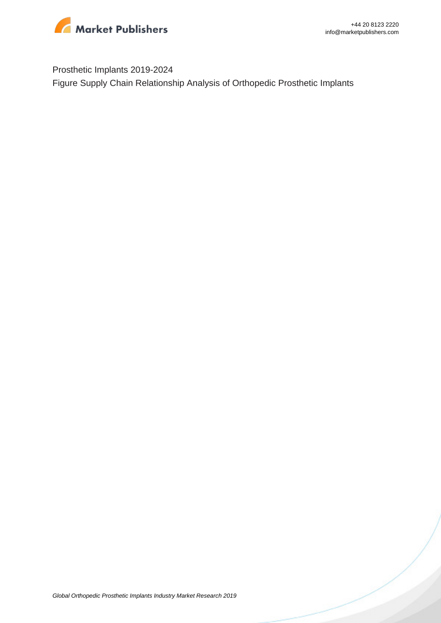

Prosthetic Implants 2019-2024 Figure Supply Chain Relationship Analysis of Orthopedic Prosthetic Implants